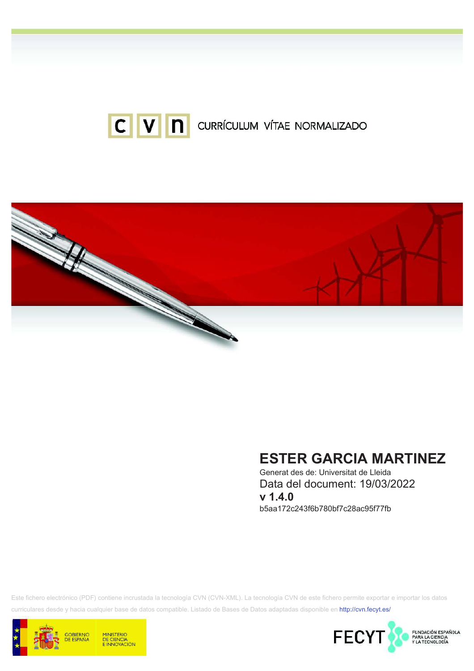



# **ESTER GARCIA MARTINEZ**

Generat des de: Universitat de Lleida Data del document: 19/03/2022  $v 1.4.0$ b5aa172c243f6b780bf7c28ac95f77fb

Este fichero electrónico (PDF) contiene incrustada la tecnología CVN (CVN-XML). La tecnología CVN de este fichero permite exportar e importar los datos curriculares desde y hacia cualquier base de datos compatible. Listado de Bases de Datos adaptadas disponible en http://cvn.fecyt.es/



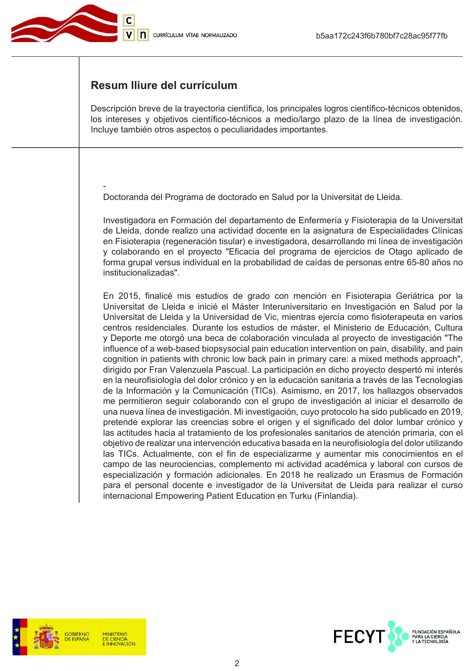

### Resum Iliure del currículum

Descripción breve de la trayectoria científica, los principales logros científico-técnicos obtenidos, los intereses y objetivos científico-técnicos a medio/largo plazo de la línea de investigación. Incluye también otros aspectos o peculiaridades importantes.

Doctoranda del Programa de doctorado en Salud por la Universitat de Lleida.

Investigadora en Formación del departamento de Enfermería y Fisioterapia de la Universitat de Lleida, donde realizo una actividad docente en la asignatura de Especialidades Clínicas en Fisioterapia (regeneración tisular) e investigadora, desarrollando mi línea de investigación y colaborando en el proyecto "Eficacia del programa de ejercicios de Otago aplicado de forma grupal versus individual en la probabilidad de caídas de personas entre 65-80 años no institucionalizadas".

En 2015, finalicé mis estudios de grado con mención en Fisioterapia Geriátrica por la Universitat de Lleida e inicié el Máster Interuniversitario en Investigación en Salud por la Universitat de Lleida y la Universidad de Vic, mientras ejercía como fisioterapeuta en varios centros residenciales. Durante los estudios de máster, el Ministerio de Educación. Cultura y Deporte me otorgó una beca de colaboración vinculada al proyecto de investigación "The influence of a web-based biopsysocial pain education intervention on pain, disability, and pain cognition in patients with chronic low back pain in primary care: a mixed methods approach", dirigido por Fran Valenzuela Pascual. La participación en dicho proyecto despertó mi interés en la neurofisiología del dolor crónico y en la educación sanitaria a través de las Tecnologías de la Información y la Comunicación (TICs). Asimismo, en 2017, los hallazgos observados me permitieron seguir colaborando con el grupo de investigación al iniciar el desarrollo de una nueva línea de investigación. Mi investigación, cuyo protocolo ha sido publicado en 2019, pretende explorar las creencias sobre el origen y el significado del dolor lumbar crónico y las actitudes hacia al tratamiento de los profesionales sanitarios de atención primaria, con el objetivo de realizar una intervención educativa basada en la neurofisiología del dolor utilizando las TICs. Actualmente, con el fin de especializarme y aumentar mis conocimientos en el campo de las neurociencias, complemento mi actividad académica y laboral con cursos de especialización y formación adicionales. En 2018 he realizado un Erasmus de Formación para el personal docente e investigador de la Universitat de Lleida para realizar el curso internacional Empowering Patient Education en Turku (Finlandia).



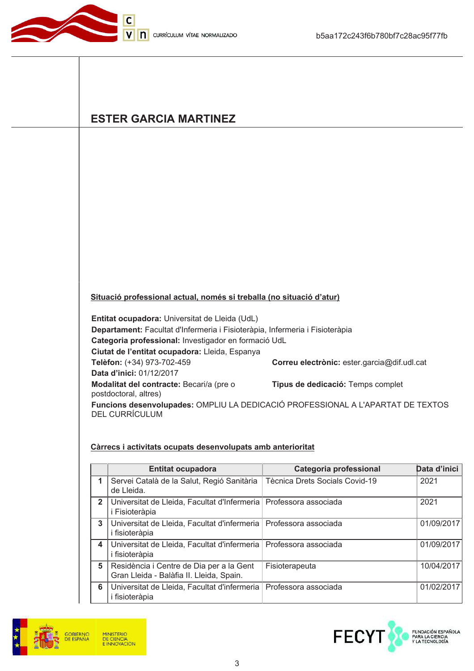

# **ESTER GARCIA MARTINEZ**

#### Situació professional actual, només si treballa (no situació d'atur)

Entitat ocupadora: Universitat de Lleida (UdL)

Departament: Facultat d'Infermeria i Fisioteràpia, Infermeria i Fisioteràpia Categoria professional: Investigador en formació UdL Ciutat de l'entitat ocupadora: Lleida, Espanya Telèfon: (+34) 973-702-459 Correu electrònic: ester.garcia@dif.udl.cat Data d'inici: 01/12/2017 Modalitat del contracte: Becari/a (pre o Tipus de dedicació: Temps complet postdoctoral, altres) Funcions desenvolupades: OMPLIU LA DEDICACIÓ PROFESSIONAL A L'APARTAT DE TEXTOS **DEL CURRÍCULUM** 

#### Càrrecs i activitats ocupats desenvolupats amb anterioritat

|                | <b>Entitat ocupadora</b>                                                              | Categoria professional                | Data d'inici |
|----------------|---------------------------------------------------------------------------------------|---------------------------------------|--------------|
| 1              | Servei Català de la Salut, Regió Sanitària<br>de Lleida.                              | <b>Tècnica Drets Socials Covid-19</b> | 2021         |
| $\overline{2}$ | Universitat de Lleida, Facultat d'Infermeria   Professora associada<br>i Fisioteràpia |                                       | 2021         |
| 3              | Universitat de Lleida, Facultat d'infermeria   Professora associada<br>i fisioteràpia |                                       | 01/09/2017   |
| 4              | Universitat de Lleida, Facultat d'infermeria   Professora associada<br>i fisioteràpia |                                       | 01/09/2017   |
| 5              | Residència i Centre de Dia per a la Gent<br>Gran Lleida - Balàfia II. Lleida, Spain.  | Fisioterapeuta                        | 10/04/2017   |
| 6              | Universitat de Lleida, Facultat d'infermeria<br><i>i</i> fisioteràpia                 | Professora associada                  | 01/02/2017   |



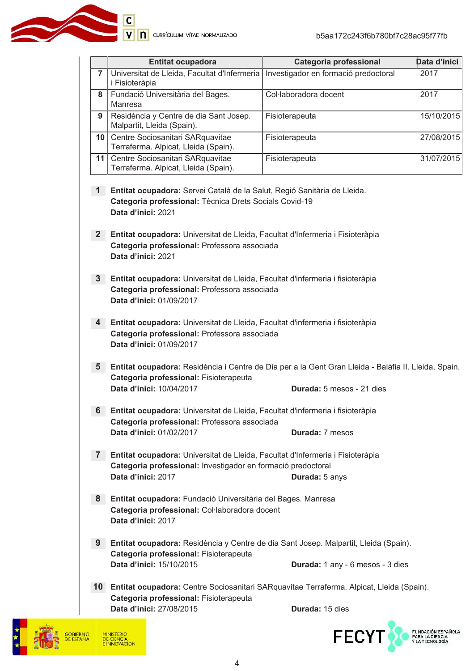**C**<br> **V N** currículum vítae normalizado

|                | <b>Entitat ocupadora</b>                                                                                                                                   | Categoria professional               | Data d'inici |  |
|----------------|------------------------------------------------------------------------------------------------------------------------------------------------------------|--------------------------------------|--------------|--|
| $\overline{7}$ | Universitat de Lleida, Facultat d'Infermeria<br>i Fisioteràpia                                                                                             | Investigador en formació predoctoral | 2017         |  |
| 8              | Fundació Universitària del Bages.<br>Manresa                                                                                                               | Col·laboradora docent                | 2017         |  |
| 9              | Residència y Centre de dia Sant Josep.<br>Malpartit, Lleida (Spain).                                                                                       | Fisioterapeuta                       | 15/10/2015   |  |
| 10             | Centre Sociosanitari SARquavitae<br>Terraferma. Alpicat, Lleida (Spain).                                                                                   | Fisioterapeuta                       | 27/08/2015   |  |
| 11             | Centre Sociosanitari SARquavitae<br>Terraferma. Alpicat, Lleida (Spain).                                                                                   | Fisioterapeuta                       | 31/07/2015   |  |
| 1              | Entitat ocupadora: Servei Català de la Salut, Regió Sanitària de Lleida.                                                                                   |                                      |              |  |
|                | Categoria professional: Tècnica Drets Socials Covid-19<br>Data d'inici: 2021                                                                               |                                      |              |  |
| 2 <sub>1</sub> | Entitat ocupadora: Universitat de Lleida, Facultat d'Infermeria i Fisioteràpia<br>Categoria professional: Professora associada<br>Data d'inici: 2021       |                                      |              |  |
| 3 <sup>1</sup> | Entitat ocupadora: Universitat de Lleida, Facultat d'infermeria i fisioteràpia<br>Categoria professional: Professora associada<br>Data d'inici: 01/09/2017 |                                      |              |  |
| 4              | Entitat ocupadora: Universitat de Lleida, Facultat d'infermeria i fisioteràpia<br>Categoria professional: Professora associada<br>Data d'inici: 01/09/2017 |                                      |              |  |
| 5 <sub>1</sub> | Entitat ocupadora: Residència i Centre de Dia per a la Gent Gran Lleida - Balàfia II. Lleida, Spain.<br>Categoria professional: Fisioterapeuta             |                                      |              |  |
|                | Data d'inici: 10/04/2017                                                                                                                                   | Durada: 5 mesos - 21 dies            |              |  |
| 6              | Entitat ocupadora: Universitat de Lleida, Facultat d'infermeria i fisioteràpia<br>Categoria professional: Professora associada                             |                                      |              |  |
|                | Data d'inici: 01/02/2017                                                                                                                                   | Durada: 7 mesos                      |              |  |
| 7 <sup>1</sup> | Entitat ocupadora: Universitat de Lleida, Facultat d'Infermeria i Fisioteràpia<br>Categoria professional: Investigador en formació predoctoral             |                                      |              |  |
|                | Data d'inici: 2017                                                                                                                                         | Durada: 5 anys                       |              |  |
| 8              | Entitat ocupadora: Fundació Universitària del Bages. Manresa                                                                                               |                                      |              |  |
|                | Categoria professional: Col·laboradora docent<br>Data d'inici: 2017                                                                                        |                                      |              |  |
| 9              | Entitat ocupadora: Residència y Centre de dia Sant Josep. Malpartit, Lleida (Spain).                                                                       |                                      |              |  |
|                | Categoria professional: Fisioterapeuta<br>Data d'inici: 15/10/2015                                                                                         | Durada: 1 any - 6 mesos - 3 dies     |              |  |
|                | 10 Entitat ocupadora: Centre Sociosanitari SARquavitae Terraferma. Alpicat, Lleida (Spain).<br>Categoria professional: Fisioterapeuta                      |                                      |              |  |
|                | Data d'inici: 27/08/2015                                                                                                                                   | Durada: 15 dies                      |              |  |



FECYT FUNDACIÓN ESPAÑOLA<br>PARA LA CIENCIA<br>Y LA TECNOLOGÍA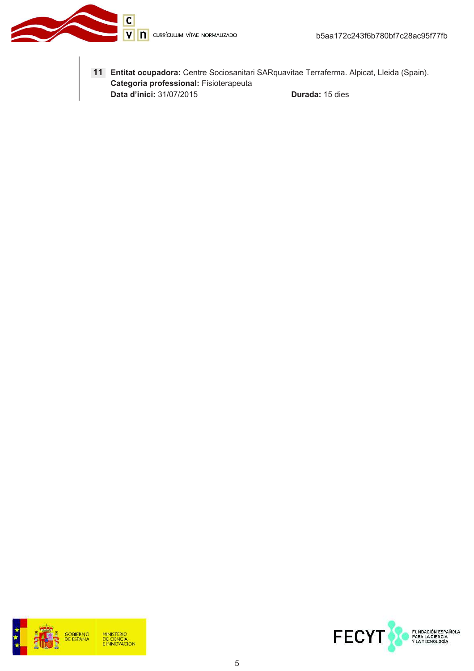V n currículum vítae normalizado

 $\overline{c}$ 



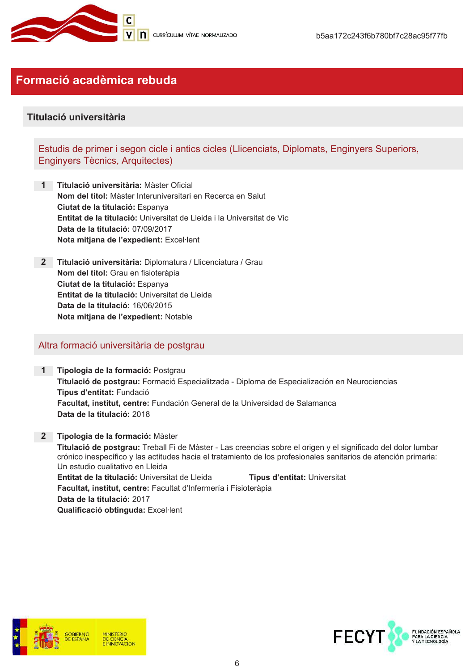

## Formació acadèmica rebuda

### Titulació universitària

Estudis de primer i segon cicle i antics cicles (Llicenciats, Diplomats, Enginyers Superiors, Enginyers Tècnics, Arquitectes)

- 1 Titulació universitària: Màster Oficial Nom del títol: Màster Interuniversitari en Recerca en Salut Ciutat de la titulació: Espanya Entitat de la titulació: Universitat de Lleida i la Universitat de Vic Data de la titulació: 07/09/2017 Nota mitjana de l'expedient: Excel·lent
- 2 Titulació universitària: Diplomatura / Llicenciatura / Grau Nom del títol: Grau en fisioteràpia Ciutat de la titulació: Espanya Entitat de la titulació: Universitat de Lleida Data de la titulació: 16/06/2015 Nota mitjana de l'expedient: Notable

#### Altra formació universitària de postgrau

1 Tipologia de la formació: Postgrau Titulació de postgrau: Formació Especialitzada - Diploma de Especialización en Neurociencias Tipus d'entitat: Fundació Facultat, institut, centre: Fundación General de la Universidad de Salamanca Data de la titulació: 2018

2 Tipologia de la formació: Màster Titulació de postgrau: Treball Fi de Màster - Las creencias sobre el origen y el significado del dolor lumbar crónico inespecífico y las actitudes hacia el tratamiento de los profesionales sanitarios de atención primaria: Un estudio cualitativo en Lleida Entitat de la titulació: Universitat de Lleida Tipus d'entitat: Universitat Facultat, institut, centre: Facultat d'Infermería i Fisioteràpia Data de la titulació: 2017 Qualificació obtinguda: Excel·lent



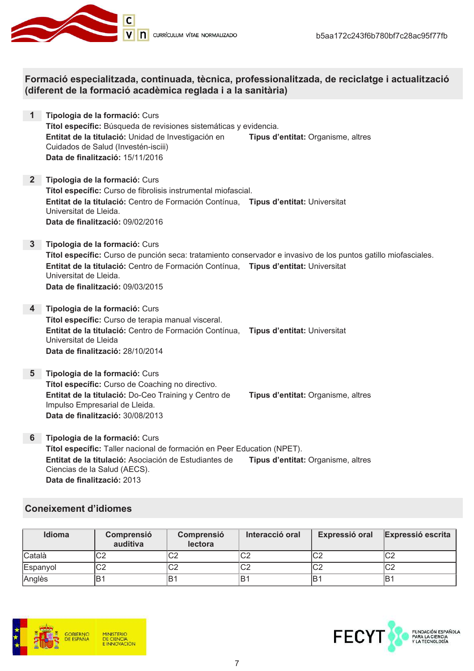

Formació especialitzada, continuada, tècnica, professionalitzada, de reciclatge i actualització (diferent de la formació acadèmica reglada i a la sanitària)

- 1 Tipologia de la formació: Curs Títol específic: Búsqueda de revisiones sistemáticas y evidencia. Entitat de la titulació: Unidad de Investigación en Tipus d'entitat: Organisme, altres Cuidados de Salud (Investén-isciii) Data de finalització: 15/11/2016
- 2 Tipologia de la formació: Curs Títol específic: Curso de fibrolisis instrumental miofascial. Entitat de la titulació: Centro de Formación Contínua. Tipus d'entitat: Universitat Universitat de Lleida. Data de finalització: 09/02/2016
- 3 Tipologia de la formació: Curs Títol específic: Curso de punción seca: tratamiento conservador e invasivo de los puntos gatillo miofasciales. Entitat de la titulació: Centro de Formación Contínua, Tipus d'entitat: Universitat Universitat de Lleida. Data de finalització: 09/03/2015
- 4 Tipologia de la formació: Curs Títol específic: Curso de terapia manual visceral. Entitat de la titulació: Centro de Formación Contínua, Tipus d'entitat: Universitat Universitat de Lleida Data de finalització: 28/10/2014
- 5 Tipologia de la formació: Curs Títol específic: Curso de Coaching no directivo. Entitat de la titulació: Do-Ceo Training y Centro de Impulso Empresarial de Lleida. Data de finalització: 30/08/2013

Tipus d'entitat: Organisme, altres

6 Tipologia de la formació: Curs Títol específic: Taller nacional de formación en Peer Education (NPET). Entitat de la titulació: Asociación de Estudiantes de Tipus d'entitat: Organisme, altres Ciencias de la Salud (AECS). Data de finalització: 2013

### **Coneixement d'idiomes**

| Idioma   | Comprensió<br>auditiva | Comprensió<br>lectora | Interacció oral | Expressió oral | <b>Expressió escrita</b> |
|----------|------------------------|-----------------------|-----------------|----------------|--------------------------|
| Català   | C2                     | ⌒∩<br>∪∠              | C2              | lC2            | C <sub>2</sub>           |
| Espanyol | C <sub>2</sub>         | C2                    | C2              | lC2            | $\cap$<br>υZ             |
| Anglès   | lB1                    | ≀B                    | lB1             | ١B             | lB1                      |



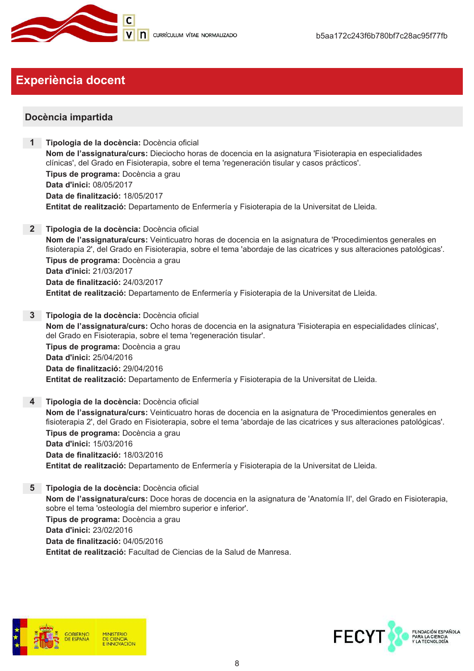

# **Experiència docent**

### Docència impartida

- Tipologia de la docència: Docència oficial Nom de l'assignatura/curs: Dieciocho horas de docencia en la asignatura 'Fisioterapia en especialidades clínicas', del Grado en Fisioterapia, sobre el tema 'regeneración tisular y casos prácticos'. Tipus de programa: Docència a grau Data d'inici: 08/05/2017 Data de finalització: 18/05/2017 Entitat de realització: Departamento de Enfermería y Fisioterapia de la Universitat de Lleida.
- 2 Tipologia de la docència: Docència oficial Nom de l'assignatura/curs: Veinticuatro horas de docencia en la asignatura de 'Procedimientos generales en fisioterapia 2', del Grado en Fisioterapia, sobre el tema 'abordaje de las cicatrices y sus alteraciones patológicas'. Tipus de programa: Docència a grau Data d'inici: 21/03/2017 Data de finalització: 24/03/2017 Entitat de realització: Departamento de Enfermería y Fisioterapia de la Universitat de Lleida.
- 3 Tipologia de la docència: Docència oficial Nom de l'assignatura/curs: Ocho horas de docencia en la asignatura 'Fisioterapia en especialidades clínicas', del Grado en Fisioterapia, sobre el tema 'regeneración tisular'. Tipus de programa: Docència a grau Data d'inici: 25/04/2016 Data de finalització: 29/04/2016 Entitat de realització: Departamento de Enfermería y Fisioterapia de la Universitat de Lleida.
- 4 Tipologia de la docència: Docència oficial Nom de l'assignatura/curs: Veinticuatro horas de docencia en la asignatura de 'Procedimientos generales en fisioterapia 2', del Grado en Fisioterapia, sobre el tema 'abordaje de las cicatrices y sus alteraciones patológicas'. Tipus de programa: Docència a grau Data d'inici: 15/03/2016 Data de finalització: 18/03/2016 Entitat de realització: Departamento de Enfermería y Fisioterapia de la Universitat de Lleida.
- 5 Tipologia de la docència: Docència oficial Nom de l'assignatura/curs: Doce horas de docencia en la asignatura de 'Anatomía II', del Grado en Fisioterapia, sobre el tema 'osteología del miembro superior e inferior'. Tipus de programa: Docència a grau Data d'inici: 23/02/2016 Data de finalització: 04/05/2016 Entitat de realització: Facultad de Ciencias de la Salud de Manresa.



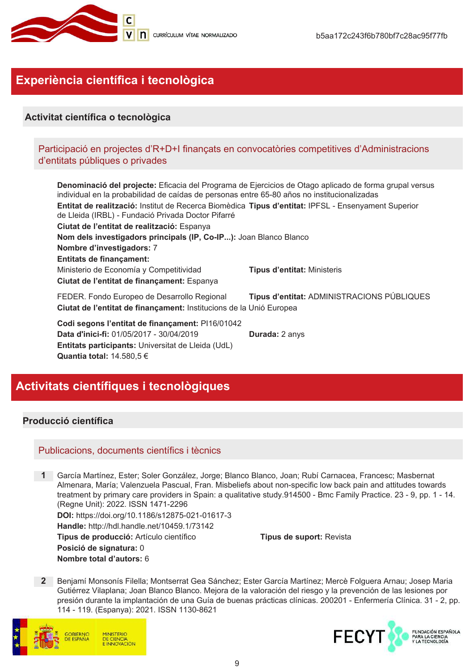

# Experiència científica i tecnològica

### Activitat científica o tecnològica

### Participació en projectes d'R+D+I finançats en convocatòries competitives d'Administracions d'entitats públiques o privades

Denominació del projecte: Eficacia del Programa de Ejercicios de Otago aplicado de forma grupal versus individual en la probabilidad de caídas de personas entre 65-80 años no institucionalizadas Entitat de realització: Institut de Recerca Biomèdica Tipus d'entitat: IPFSL - Ensenyament Superior de Lleida (IRBL) - Fundació Privada Doctor Pifarré Ciutat de l'entitat de realització: Espanya Nom dels investigadors principals (IP, Co-IP...): Joan Blanco Blanco Nombre d'investigadors: 7 **Entitats de financament:** Ministerio de Economía y Competitividad **Tipus d'entitat: Ministeris** Ciutat de l'entitat de finançament: Espanya FEDER. Fondo Europeo de Desarrollo Regional Tipus d'entitat: ADMINISTRACIONS PÚBLIQUES Ciutat de l'entitat de finançament: Institucions de la Unió Europea Codi segons l'entitat de finançament: PI16/01042 Data d'inici-fi: 01/05/2017 - 30/04/2019 Durada: 2 anys Entitats participants: Universitat de Lleida (UdL)

# Activitats científiques i tecnològiques

Quantia total: 14.580,5 €

### Producció científica

#### Publicacions, documents científics i tècnics

1 García Martínez, Ester; Soler González, Jorge; Blanco Blanco, Joan; Rubí Carnacea, Francesc; Masbernat Almenara, María; Valenzuela Pascual, Fran. Misbeliefs about non-specific low back pain and attitudes towards treatment by primary care providers in Spain: a qualitative study.914500 - Bmc Family Practice. 23 - 9, pp. 1 - 14. (Regne Unit): 2022. ISSN 1471-2296 DOI: https://doi.org/10.1186/s12875-021-01617-3 Handle: http://hdl.handle.net/10459.1/73142 Tipus de producció: Artículo científico Tipus de suport: Revista Posició de signatura: 0 Nombre total d'autors: 6

2 Beniamí Monsonís Filella: Montserrat Gea Sánchez: Ester García Martínez: Mercè Folguera Arnau: Josep Maria Gutiérrez Vilaplana: Joan Blanco Blanco, Mejora de la valoración del riesgo y la prevención de las lesiones por presión durante la implantación de una Guía de buenas prácticas clínicas. 200201 - Enfermería Clínica. 31 - 2, pp. 114 - 119. (Espanya): 2021. ISSN 1130-8621



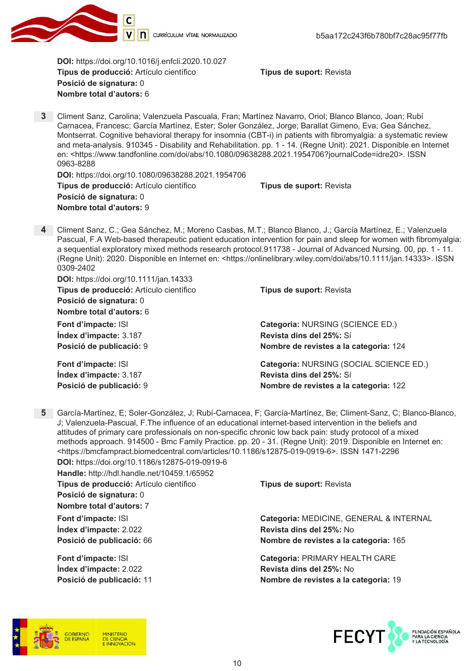

DOI: https://doi.org/10.1016/j.enfcli.2020.10.027 Tipus de producció: Artículo científico Posició de signatura: 0 Nombre total d'autors: 6

Tipus de suport: Revista

3 Climent Sanz, Carolina; Valenzuela Pascuala, Fran; Martínez Navarro, Oriol; Blanco Blanco, Joan; Rubí Carnacea, Francesc; García Martínez, Ester; Soler González, Jorge; Barallat Gimeno, Eva; Gea Sánchez, Montserrat. Cognitive behavioral therapy for insomnia (CBT-i) in patients with fibromyalgia: a systematic review and meta-analysis. 910345 - Disability and Rehabilitation. pp. 1 - 14. (Regne Unit): 2021. Disponible en Internet en: <https://www.tandfonline.com/doi/abs/10.1080/09638288.2021.1954706?journalCode=idre20>. ISSN 0963-8288

DOI: https://doi.org/10.1080/09638288.2021.1954706 Tipus de producció: Artículo científico Posició de signatura: 0 Nombre total d'autors: 9

Tipus de suport: Revista

Tipus de suport: Revista

Revista dins del 25%: Sí

Categoria: NURSING (SCIENCE ED.)

Nombre de revistes a la categoria: 124

4 Climent Sanz, C.; Gea Sánchez, M.; Moreno Casbas, M.T.; Blanco Blanco, J.; García Martínez, E.; Valenzuela Pascual, F.A Web-based therapeutic patient education intervention for pain and sleep for women with fibromyalgia: a sequential exploratory mixed methods research protocol.911738 - Journal of Advanced Nursing. 00, pp. 1 - 11. (Regne Unit): 2020. Disponible en Internet en: < https://onlinelibrary.wiley.com/doi/abs/10.1111/jan.14333>. ISSN 0309-2402

**DOI: https://doi.org/10.1111/jan.14333** Tipus de producció: Artículo científico Posició de signatura: 0

Nombre total d'autors: 6

Font d'impacte: ISI Índex d'impacte: 3.187 Posició de publicació: 9

Font d'impacte: ISI Categoria: NURSING (SOCIAL SCIENCE ED.) Revista dins del 25%: Sí Índex d'impacte: 3.187 Posició de publicació: 9 Nombre de revistes a la categoria: 122

5 García-Martínez, E; Soler-González, J; Rubí-Carnacea, F; García-Martínez, Be; Climent-Sanz, C; Blanco-Blanco, J; Valenzuela-Pascual, F.The influence of an educational internet-based intervention in the beliefs and attitudes of primary care professionals on non-specific chronic low back pain: study protocol of a mixed methods approach. 914500 - Bmc Family Practice. pp. 20 - 31. (Regne Unit): 2019. Disponible en Internet en: <https://bmcfampract.biomedcentral.com/articles/10.1186/s12875-019-0919-6>. ISSN 1471-2296 DOI: https://doi.org/10.1186/s12875-019-0919-6

| Handle: http://hdl.handle.net/10459.1/65952 |                                         |  |  |
|---------------------------------------------|-----------------------------------------|--|--|
| Tipus de producció: Artículo científico     | Tipus de suport: Revista                |  |  |
| Posició de signatura: 0                     |                                         |  |  |
| Nombre total d'autors: 7                    |                                         |  |  |
| Font d'impacte: ISI                         | Categoria: MEDICINE, GENERAL & INTERNAL |  |  |
| Index d'impacte: 2.022                      | Revista dins del 25%: No                |  |  |
| Posició de publicació: 66                   | Nombre de revistes a la categoria: 165  |  |  |
| Font d'impacte: ISI                         | Categoria: PRIMARY HEALTH CARE          |  |  |
| Index d'impacte: 2.022                      | Revista dins del 25%: No                |  |  |
| Posició de publicació: 11                   | Nombre de revistes a la categoria: 19   |  |  |



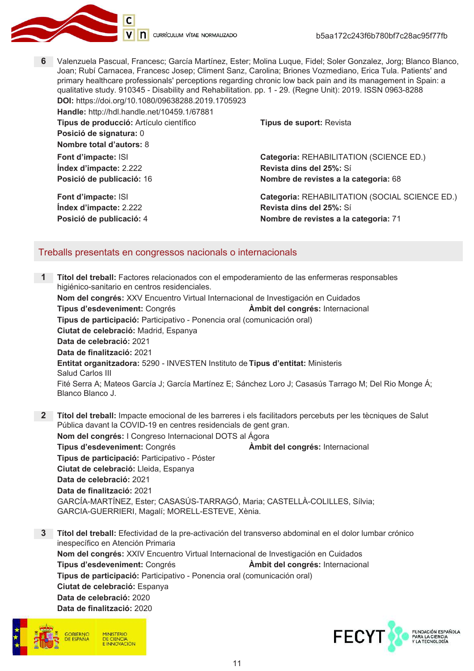

6 Valenzuela Pascual, Francesc; García Martínez, Ester; Molina Luque, Fidel; Soler Gonzalez, Jorg; Blanco Blanco, Joan; Rubí Carnacea, Francesc Josep; Climent Sanz, Carolina; Briones Vozmediano, Erica Tula. Patients' and primary healthcare professionals' perceptions regarding chronic low back pain and its management in Spain; a qualitative study. 910345 - Disability and Rehabilitation. pp. 1 - 29. (Regne Unit): 2019. ISSN 0963-8288 DOI: https://doi.org/10.1080/09638288.2019.1705923

| Handle: http://hdl.handle.net/10459.1/67881 |                                                |  |  |
|---------------------------------------------|------------------------------------------------|--|--|
| Tipus de producció: Artículo científico     | Tipus de suport: Revista                       |  |  |
| Posició de signatura: 0                     |                                                |  |  |
| Nombre total d'autors: 8                    |                                                |  |  |
| Font d'impacte: ISI                         | Categoria: REHABILITATION (SCIENCE ED.)        |  |  |
| Index d'impacte: 2.222                      | Revista dins del 25%: Sí                       |  |  |
| Posició de publicació: 16                   | Nombre de revistes a la categoria: 68          |  |  |
| Font d'impacte: ISI                         | Categoria: REHABILITATION (SOCIAL SCIENCE ED.) |  |  |
| Índex d'impacte: 2.222                      | Revista dins del 25%: Sí                       |  |  |
| Posició de publicació: 4                    | Nombre de revistes a la categoria: 71          |  |  |

#### Treballs presentats en congressos nacionals o internacionals

- Títol del treball: Factores relacionados con el empoderamiento de las enfermeras responsables higiénico-sanitario en centros residenciales. Nom del congrés: XXV Encuentro Virtual Internacional de Investigación en Cuidados Tipus d'esdeveniment: Congrés Àmbit del congrés: Internacional Tipus de participació: Participativo - Ponencia oral (comunicación oral) Ciutat de celebració: Madrid, Espanya Data de celebració: 2021 Data de finalització: 2021 Entitat organitzadora: 5290 - INVESTEN Instituto de Tipus d'entitat: Ministeris Salud Carlos III Fité Serra A; Mateos García J; García Martínez E; Sánchez Loro J; Casasús Tarrago M; Del Rio Monge Á; Blanco Blanco J.
- Títol del treball: Impacte emocional de les barreres i els facilitadors percebuts per les tècniques de Salut  $2^{\circ}$ Pública davant la COVID-19 en centres residencials de gent gran. Nom del congrés: I Congreso Internacional DOTS al Ágora Tipus d'esdeveniment: Congrés Ambit del congrés: Internacional Tipus de participació: Participativo - Póster Ciutat de celebració: Lleida, Espanya Data de celebració: 2021 Data de finalització: 2021 GARCÍA-MARTÍNEZ, Ester; CASASÚS-TARRAGÓ, Maria; CASTELLÀ-COLILLES, Sílvia; GARCIA-GUERRIERI, Magalí; MORELL-ESTEVE, Xènia.
- 3 Títol del treball: Efectividad de la pre-activación del transverso abdominal en el dolor lumbar crónico inespecífico en Atención Primaria Nom del congrés: XXIV Encuentro Virtual Internacional de Investigación en Cuidados Tipus d'esdeveniment: Congrés Àmbit del congrés: Internacional Tipus de participació: Participativo - Ponencia oral (comunicación oral) Ciutat de celebració: Espanya Data de celebració: 2020 Data de finalització: 2020



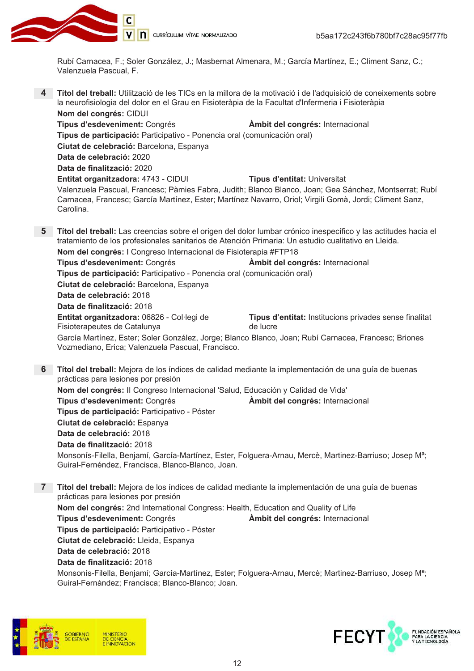

Rubí Carnacea, F.; Soler González, J.; Masbernat Almenara, M.; García Martínez, E.; Climent Sanz, C.; Valenzuela Pascual, F.

Títol del treball: Utilització de les TICs en la millora de la motivació i de l'adquisició de coneixements sobre la neurofisiologia del dolor en el Grau en Fisioteràpia de la Facultat d'Infermeria i Fisioteràpia Nom del congrés: CIDUI

Tipus d'esdeveniment: Congrés Àmbit del congrés: Internacional Tipus de participació: Participativo - Ponencia oral (comunicación oral) Ciutat de celebració: Barcelona, Espanya Data de celebració: 2020 Data de finalització: 2020 Entitat organitzadora: 4743 - CIDUI **Tipus d'entitat: Universitat** Valenzuela Pascual, Francesc; Pàmies Fabra, Judith; Blanco Blanco, Joan; Gea Sánchez, Montserrat; Rubí Carnacea, Francesc; García Martínez, Ester; Martínez Navarro, Oriol; Virgili Gomà, Jordi; Climent Sanz, Carolina.

5 Títol del treball: Las creencias sobre el origen del dolor lumbar crónico inespecífico y las actitudes hacia el tratamiento de los profesionales sanitarios de Atención Primaria: Un estudio cualitativo en Lleida. Nom del congrés: I Congreso Internacional de Fisioterapia #FTP18 Tipus d'esdeveniment: Congrés Àmbit del congrés: Internacional Tipus de participació: Participativo - Ponencia oral (comunicación oral) Ciutat de celebració: Barcelona, Espanya Data de celebració: 2018 Data de finalització: 2018 Entitat organitzadora: 06826 - Col·legi de Tipus d'entitat: Institucions privades sense finalitat Fisioterapeutes de Catalunya de lucre García Martínez, Ester; Soler González, Jorge; Blanco Blanco, Joan; Rubí Carnacea, Francesc; Briones Vozmediano, Erica; Valenzuela Pascual, Francisco.

6 Títol del treball: Mejora de los índices de calidad mediante la implementación de una guía de buenas prácticas para lesiones por presión Nom del congrés: Il Congreso Internacional 'Salud, Educación y Calidad de Vida' Àmbit del congrés: Internacional Tipus d'esdeveniment: Congrés Tipus de participació: Participativo - Póster Ciutat de celebració: Espanya Data de celebració: 2018 Data de finalització: 2018 Monsonís-Filella, Benjamí, García-Martínez, Ester, Folguera-Arnau, Mercè, Martinez-Barriuso; Josep M<sup>a</sup>; Guiral-Fernéndez, Francisca, Blanco-Blanco, Joan.

 $7^{\circ}$ Títol del treball: Mejora de los índices de calidad mediante la implementación de una quía de buenas prácticas para lesiones por presión Nom del congrés: 2nd International Congress: Health, Education and Quality of Life Tipus d'esdeveniment: Congrés Àmbit del congrés: Internacional Tipus de participació: Participativo - Póster Ciutat de celebració: Lleida, Espanya Data de celebració: 2018 Data de finalització: 2018

Monsonís-Filella, Benjamí; García-Martínez, Ester; Folguera-Arnau, Mercè; Martinez-Barriuso, Josep M<sup>a</sup>; Guiral-Fernández; Francisca; Blanco-Blanco; Joan.



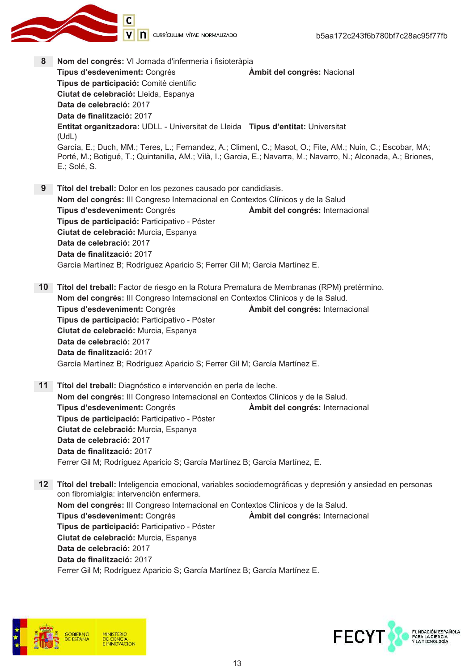

8 Nom del congrés: VI Jornada d'infermeria i fisioteràpia Tipus d'esdeveniment: Congrés Ambit del congrés: Nacional Tipus de participació: Comitè científic Ciutat de celebració: Lleida, Espanya Data de celebració: 2017 Data de finalització: 2017 Entitat organitzadora: UDLL - Universitat de Lleida Tipus d'entitat: Universitat  $(UdL)$ García, E.; Duch, MM.; Teres, L.; Fernandez, A.; Climent, C.; Masot, O.; Fite, AM.; Nuin, C.; Escobar, MA; Porté, M.; Botigué, T.; Quintanilla, AM.; Vilà, I.; Garcia, E.; Navarra, M.; Navarro, N.; Alconada, A.; Briones, E.; Solé, S. 9 Títol del treball: Dolor en los pezones causado por candidiasis. Nom del congrés: III Congreso Internacional en Contextos Clínicos y de la Salud Tipus d'esdeveniment: Congrés Ambit del congrés: Internacional Tipus de participació: Participativo - Póster Ciutat de celebració: Murcia, Espanya Data de celebració: 2017 Data de finalització: 2017 García Martínez B; Rodríguez Aparicio S; Ferrer Gil M; García Martínez E. 10 Títol del treball: Factor de riesgo en la Rotura Prematura de Membranas (RPM) pretérmino. Nom del congrés: III Congreso Internacional en Contextos Clínicos y de la Salud. Tipus d'esdeveniment: Congrés Àmbit del congrés: Internacional Tipus de participació: Participativo - Póster Ciutat de celebració: Murcia, Espanya Data de celebració: 2017 Data de finalització: 2017 García Martínez B; Rodríguez Aparicio S; Ferrer Gil M; García Martínez E. 11 Títol del treball: Diagnóstico e intervención en perla de leche. Nom del congrés: III Congreso Internacional en Contextos Clínicos y de la Salud. Tipus d'esdeveniment: Congrés Àmbit del congrés: Internacional Tipus de participació: Participativo - Póster Ciutat de celebració: Murcia, Espanya Data de celebració: 2017 Data de finalització: 2017 Ferrer Gil M; Rodríguez Aparicio S; García Martínez B; García Martínez, E. 12 Títol del treball: Inteligencia emocional, variables sociodemográficas y depresión y ansiedad en personas con fibromialgia: intervención enfermera. Nom del congrés: III Congreso Internacional en Contextos Clínicos y de la Salud. Tipus d'esdeveniment: Congrés Àmbit del congrés: Internacional Tipus de participació: Participativo - Póster

Ciutat de celebració: Murcia, Espanya Data de celebració: 2017 Data de finalització: 2017 Ferrer Gil M; Rodríguez Aparicio S; García Martínez B; García Martínez E.



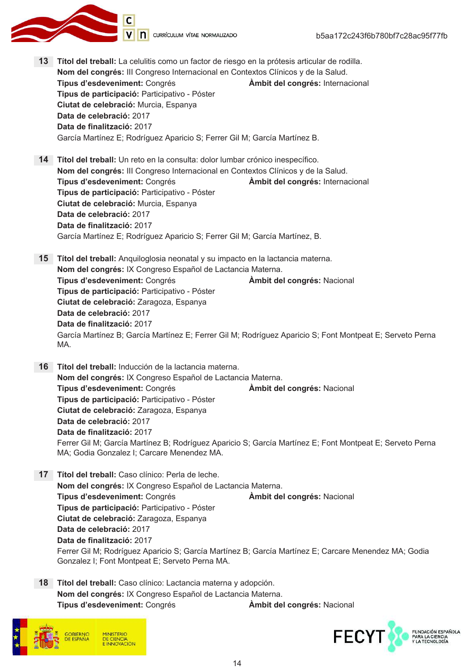V n currículum vítae normalizado

- 13 Títol del treball: La celulitis como un factor de riesgo en la prótesis articular de rodilla. Nom del congrés: III Congreso Internacional en Contextos Clínicos y de la Salud. Tipus d'esdeveniment: Congrés Àmbit del congrés: Internacional Tipus de participació: Participativo - Póster Ciutat de celebració: Murcia, Espanya Data de celebració: 2017 Data de finalització: 2017 García Martínez E; Rodríguez Aparicio S; Ferrer Gil M; García Martínez B. 14 Títol del treball: Un reto en la consulta: dolor lumbar crónico inespecífico. Nom del congrés: III Congreso Internacional en Contextos Clínicos y de la Salud. Tipus d'esdeveniment: Congrés Àmbit del congrés: Internacional Tipus de participació: Participativo - Póster Ciutat de celebració: Murcia, Espanya Data de celebració: 2017 Data de finalització: 2017 García Martínez E; Rodríguez Aparicio S; Ferrer Gil M; García Martínez, B. 15 Títol del treball: Anguiloglosia neonatal y su impacto en la lactancia materna. Nom del congrés: IX Congreso Español de Lactancia Materna. Tipus d'esdeveniment: Congrés Ambit del congrés: Nacional Tipus de participació: Participativo - Póster Ciutat de celebració: Zaragoza, Espanya Data de celebració: 2017 Data de finalització: 2017 García Martínez B; García Martínez E; Ferrer Gil M; Rodríguez Aparicio S; Font Montpeat E; Serveto Perna MA. 16 Títol del treball: Inducción de la lactancia materna. Nom del congrés: IX Congreso Español de Lactancia Materna. Tipus d'esdeveniment: Congrés Àmbit del congrés: Nacional Tipus de participació: Participativo - Póster Ciutat de celebració: Zaragoza, Espanya Data de celebració: 2017 Data de finalització: 2017 Ferrer Gil M; García Martínez B; Rodríguez Aparicio S; García Martínez E; Font Montpeat E; Serveto Perna MA; Godia Gonzalez I; Carcare Menendez MA. 17 Títol del treball: Caso clínico: Perla de leche. Nom del congrés: IX Congreso Español de Lactancia Materna. Tipus d'esdeveniment: Congrés Àmbit del congrés: Nacional Tipus de participació: Participativo - Póster Ciutat de celebració: Zaragoza, Espanya Data de celebració: 2017 Data de finalització: 2017 Ferrer Gil M; Rodríguez Aparicio S; García Martínez B; García Martínez E; Carcare Menendez MA; Godia Gonzalez I; Font Montpeat E; Serveto Perna MA. 18 Títol del treball: Caso clínico: Lactancia materna y adopción.
	- Nom del congrés: IX Congreso Español de Lactancia Materna. Tipus d'esdeveniment: Congrés





Àmbit del congrés: Nacional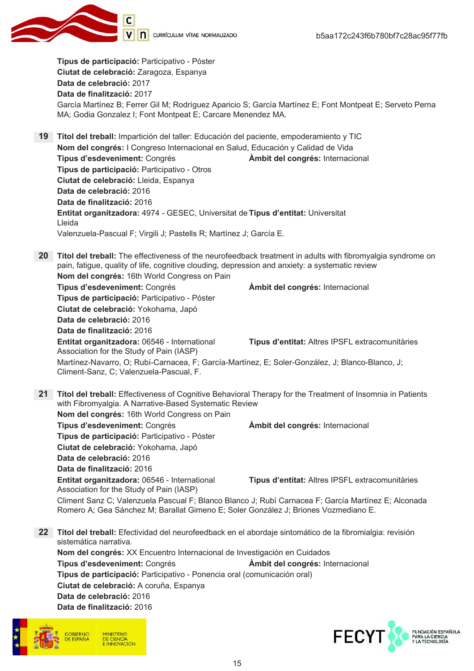

Tipus de participació: Participativo - Póster Ciutat de celebració: Zaragoza, Espanya Data de celebració: 2017 Data de finalització: 2017 García Martínez B: Ferrer Gil M: Rodríguez Aparicio S: García Martínez E: Font Montpeat E: Serveto Perna MA; Godia Gonzalez I; Font Montpeat E; Carcare Menendez MA.

19 Títol del treball: Impartición del taller: Educación del paciente, empoderamiento y TIC Nom del congrés: I Congreso Internacional en Salud, Educación y Calidad de Vida Tipus d'esdeveniment: Congrés Ambit del congrés: Internacional Tipus de participació: Participativo - Otros Ciutat de celebració: Lleida, Espanya Data de celebració: 2016 Data de finalització: 2016 Entitat organitzadora: 4974 - GESEC, Universitat de Tipus d'entitat: Universitat Lleida Valenzuela-Pascual F; Virgili J; Pastells R; Martínez J; García E.

20 Títol del treball: The effectiveness of the neurofeedback treatment in adults with fibromyalgia syndrome on pain, fatigue, quality of life, cognitive clouding, depression and anxiety: a systematic review Nom del congrés: 16th World Congress on Pain Àmbit del congrés: Internacional Tipus d'esdeveniment: Congrés Tipus de participació: Participativo - Póster Ciutat de celebració: Yokohama, Japó Data de celebració: 2016 Data de finalització: 2016 Entitat organitzadora: 06546 - International Tipus d'entitat: Altres IPSFL extracomunitàries Association for the Study of Pain (IASP) Martínez-Navarro, O; Rubí-Carnacea, F; García-Martínez, E; Soler-González, J; Blanco-Blanco, J; Climent-Sanz, C; Valenzuela-Pascual, F.

21 Títol del treball: Effectiveness of Cognitive Behavioral Therapy for the Treatment of Insomnia in Patients with Fibromyalgia. A Narrative-Based Systematic Review Nom del congrés: 16th World Congress on Pain Tipus d'esdeveniment: Congrés Àmbit del congrés: Internacional Tipus de participació: Participativo - Póster Ciutat de celebració: Yokohama, Japó Data de celebració: 2016 Data de finalització: 2016 Entitat organitzadora: 06546 - International Tipus d'entitat: Altres IPSFL extracomunitàries Association for the Study of Pain (IASP) Climent Sanz C; Valenzuela Pascual F; Blanco Blanco J; Rubí Carnacea F; García Martínez E; Alconada Romero A; Gea Sánchez M; Barallat Gimeno E; Soler González J; Briones Vozmediano E.

22 Títol del treball: Efectividad del neurofeedback en el abordaje sintomático de la fibromialgia: revisión sistemática narrativa. Nom del congrés: XX Encuentro Internacional de Investigación en Cuidados Tipus d'esdeveniment: Congrés Àmbit del congrés: Internacional Tipus de participació: Participativo - Ponencia oral (comunicación oral) Ciutat de celebració: A coruña, Espanya Data de celebració: 2016 Data de finalització: 2016



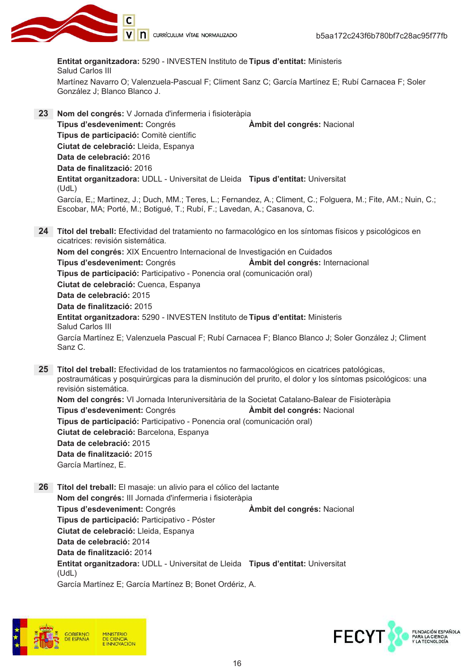

Entitat organitzadora: 5290 - INVESTEN Instituto de Tipus d'entitat: Ministeris Salud Carlos III Martínez Navarro O; Valenzuela-Pascual F; Climent Sanz C; García Martínez E; Rubí Carnacea F; Soler González J; Blanco Blanco J.

- 23 Nom del congrés: V Jornada d'infermeria i fisioteràpia Tipus d'esdeveniment: Congrés **Ambit del congrés: Nacional** Tipus de participació: Comitè científic Ciutat de celebració: Lleida, Espanya Data de celebració: 2016 Data de finalització: 2016 Entitat organitzadora: UDLL - Universitat de Lleida Tipus d'entitat: Universitat  $(UdL)$ García, E.; Martinez, J.; Duch, MM.; Teres, L.; Fernandez, A.; Climent, C.; Folguera, M.; Fite, AM.; Nuin, C.; Escobar, MA; Porté, M.; Botigué, T.; Rubí, F.; Lavedan, A.; Casanova, C.
- 24 Títol del treball: Efectividad del tratamiento no farmacológico en los síntomas físicos y psicológicos en cicatrices: revisión sistemática. Nom del congrés: XIX Encuentro Internacional de Investigación en Cuidados Tipus d'esdeveniment: Congrés Àmbit del congrés: Internacional Tipus de participació: Participativo - Ponencia oral (comunicación oral) Ciutat de celebració: Cuenca, Espanya Data de celebració: 2015 Data de finalització: 2015 Entitat organitzadora: 5290 - INVESTEN Instituto de Tipus d'entitat: Ministeris Salud Carlos III García Martínez E; Valenzuela Pascual F; Rubí Carnacea F; Blanco Blanco J; Soler González J; Climent  $SanzC$
- 25 Títol del treball: Efectividad de los tratamientos no farmacológicos en cicatrices patológicas, postraumáticas y posquirúrgicas para la disminución del prurito, el dolor y los síntomas psicológicos: una revisión sistemática. Nom del congrés: VI Jornada Interuniversitària de la Societat Catalano-Balear de Fisioteràpia Tipus d'esdeveniment: Congrés Ambit del congrés: Nacional Tipus de participació: Participativo - Ponencia oral (comunicación oral) Ciutat de celebració: Barcelona, Espanya Data de celebració: 2015 Data de finalització: 2015 García Martínez, E.
- 26 Títol del treball: El masaje: un alivio para el cólico del lactante Nom del congrés: III Jornada d'infermeria i fisioteràpia Tipus d'esdeveniment: Congrés Ambit del congrés: Nacional Tipus de participació: Participativo - Póster Ciutat de celebració: Lleida, Espanya Data de celebració: 2014 Data de finalització: 2014 Entitat organitzadora: UDLL - Universitat de Lleida Tipus d'entitat: Universitat  $(UdL)$ García Martínez E: García Martínez B: Bonet Ordériz, A.



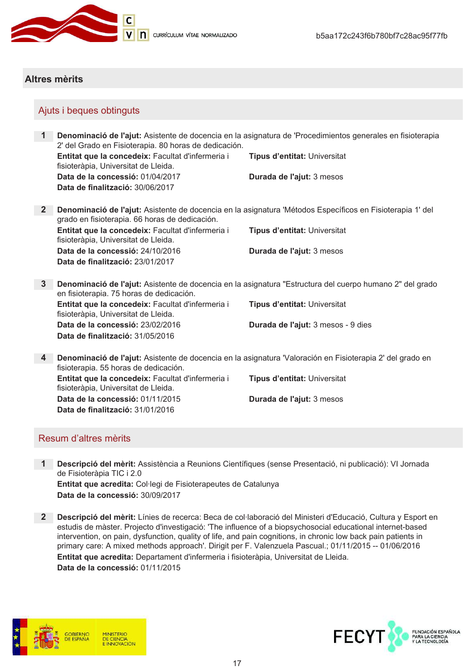

**D** CURRÍCULUM VÍTAE NORMALIZADO

### **Altres mèrits**

### Ajuts i beques obtinguts

1 Denominació de l'ajut: Asistente de docencia en la asignatura de 'Procedimientos generales en fisioterapia 2' del Grado en Fisioterapia. 80 horas de dedicación. Entitat que la concedeix: Facultat d'infermeria i Tipus d'entitat: Universitat fisioteràpia, Universitat de Lleida. Data de la concessió: 01/04/2017 Durada de l'ajut: 3 mesos Data de finalització: 30/06/2017 2 Denominació de l'ajut: Asistente de docencia en la asignatura 'Métodos Específicos en Fisioterapia 1' del grado en fisioterapia. 66 horas de dedicación. Entitat que la concedeix: Facultat d'infermeria i **Tipus d'entitat: Universitat** fisioteràpia, Universitat de Lleida. Data de la concessió: 24/10/2016 Durada de l'ajut: 3 mesos Data de finalització: 23/01/2017 3 Denominació de l'ajut: Asistente de docencia en la asignatura "Estructura del cuerpo humano 2" del grado en fisioterapia. 75 horas de dedicación. Entitat que la concedeix: Facultat d'infermeria i Tipus d'entitat: Universitat fisioteràpia, Universitat de Lleida. Data de la concessió: 23/02/2016 Durada de l'ajut: 3 mesos - 9 dies Data de finalització: 31/05/2016 4 Denominació de l'ajut: Asistente de docencia en la asignatura 'Valoración en Fisioterapia 2' del grado en fisioterapia. 55 horas de dedicación. Entitat que la concedeix: Facultat d'infermeria i Tipus d'entitat: Universitat fisioteràpia, Universitat de Lleida. Data de la concessió: 01/11/2015 Durada de l'ajut: 3 mesos

### Resum d'altres mèrits

Data de finalització: 31/01/2016

- Descripció del mèrit: Assistència a Reunions Científiques (sense Presentació, ni publicació): VI Jornada  $\mathbf 1$ de Fisioteràpia TIC i 2.0 Entitat que acredita: Col·legi de Fisioterapeutes de Catalunya Data de la concessió: 30/09/2017
- 2 Descripció del mèrit: Línies de recerca: Beca de col·laboració del Ministeri d'Educació, Cultura y Esport en estudis de màster. Projecto d'investigació: 'The influence of a biopsychosocial educational internet-based intervention, on pain, dysfunction, quality of life, and pain cognitions, in chronic low back pain patients in primary care: A mixed methods approach'. Dirigit per F. Valenzuela Pascual.; 01/11/2015 -- 01/06/2016 Entitat que acredita: Departament d'infermeria i fisioteràpia, Universitat de Lleida. Data de la concessió: 01/11/2015